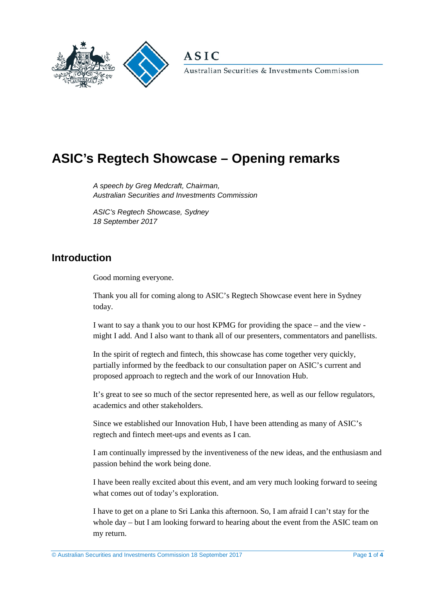

**ASIC** 

Australian Securities & Investments Commission

# **ASIC's Regtech Showcase – Opening remarks**

*A speech by Greg Medcraft, Chairman, Australian Securities and Investments Commission* 

*ASIC's Regtech Showcase, Sydney 18 September 2017*

## **Introduction**

Good morning everyone.

Thank you all for coming along to ASIC's Regtech Showcase event here in Sydney today.

I want to say a thank you to our host KPMG for providing the space – and the view might I add. And I also want to thank all of our presenters, commentators and panellists.

In the spirit of regtech and fintech, this showcase has come together very quickly, partially informed by the feedback to our consultation paper on ASIC's current and proposed approach to regtech and the work of our Innovation Hub.

It's great to see so much of the sector represented here, as well as our fellow regulators, academics and other stakeholders.

Since we established our Innovation Hub, I have been attending as many of ASIC's regtech and fintech meet-ups and events as I can.

I am continually impressed by the inventiveness of the new ideas, and the enthusiasm and passion behind the work being done.

I have been really excited about this event, and am very much looking forward to seeing what comes out of today's exploration.

I have to get on a plane to Sri Lanka this afternoon. So, I am afraid I can't stay for the whole day – but I am looking forward to hearing about the event from the ASIC team on my return.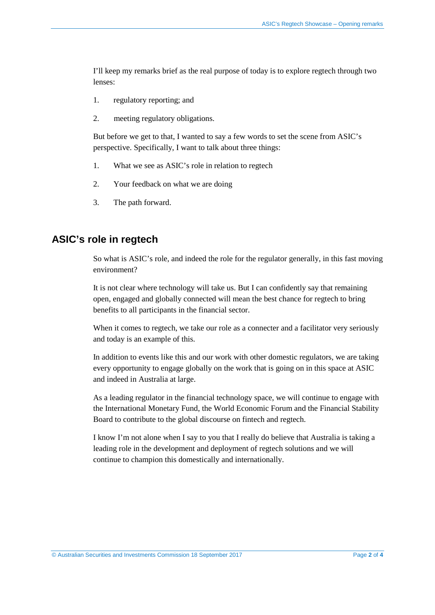I'll keep my remarks brief as the real purpose of today is to explore regtech through two lenses:

- 1. regulatory reporting; and
- 2. meeting regulatory obligations.

But before we get to that, I wanted to say a few words to set the scene from ASIC's perspective. Specifically, I want to talk about three things:

- 1. What we see as ASIC's role in relation to regtech
- 2. Your feedback on what we are doing
- 3. The path forward.

#### **ASIC's role in regtech**

So what is ASIC's role, and indeed the role for the regulator generally, in this fast moving environment?

It is not clear where technology will take us. But I can confidently say that remaining open, engaged and globally connected will mean the best chance for regtech to bring benefits to all participants in the financial sector.

When it comes to regtech, we take our role as a connecter and a facilitator very seriously and today is an example of this.

In addition to events like this and our work with other domestic regulators, we are taking every opportunity to engage globally on the work that is going on in this space at ASIC and indeed in Australia at large.

As a leading regulator in the financial technology space, we will continue to engage with the International Monetary Fund, the World Economic Forum and the Financial Stability Board to contribute to the global discourse on fintech and regtech.

I know I'm not alone when I say to you that I really do believe that Australia is taking a leading role in the development and deployment of regtech solutions and we will continue to champion this domestically and internationally.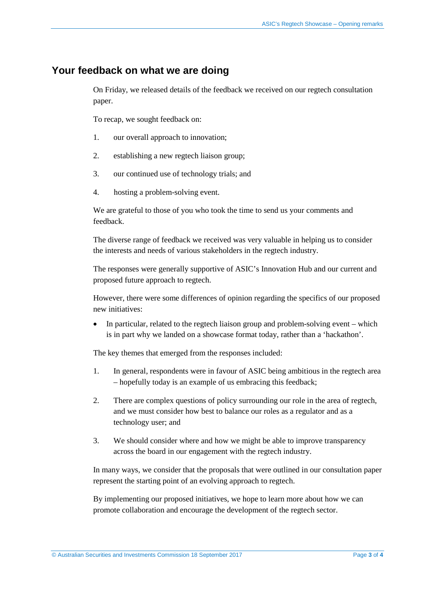#### **Your feedback on what we are doing**

On Friday, we released details of the feedback we received on our regtech consultation paper.

To recap, we sought feedback on:

- 1. our overall approach to innovation;
- 2. establishing a new regtech liaison group;
- 3. our continued use of technology trials; and
- 4. hosting a problem-solving event.

We are grateful to those of you who took the time to send us your comments and feedback.

The diverse range of feedback we received was very valuable in helping us to consider the interests and needs of various stakeholders in the regtech industry.

The responses were generally supportive of ASIC's Innovation Hub and our current and proposed future approach to regtech.

However, there were some differences of opinion regarding the specifics of our proposed new initiatives:

• In particular, related to the regtech liaison group and problem-solving event – which is in part why we landed on a showcase format today, rather than a 'hackathon'.

The key themes that emerged from the responses included:

- 1. In general, respondents were in favour of ASIC being ambitious in the regtech area – hopefully today is an example of us embracing this feedback;
- 2. There are complex questions of policy surrounding our role in the area of regtech, and we must consider how best to balance our roles as a regulator and as a technology user; and
- 3. We should consider where and how we might be able to improve transparency across the board in our engagement with the regtech industry.

In many ways, we consider that the proposals that were outlined in our consultation paper represent the starting point of an evolving approach to regtech.

By implementing our proposed initiatives, we hope to learn more about how we can promote collaboration and encourage the development of the regtech sector.